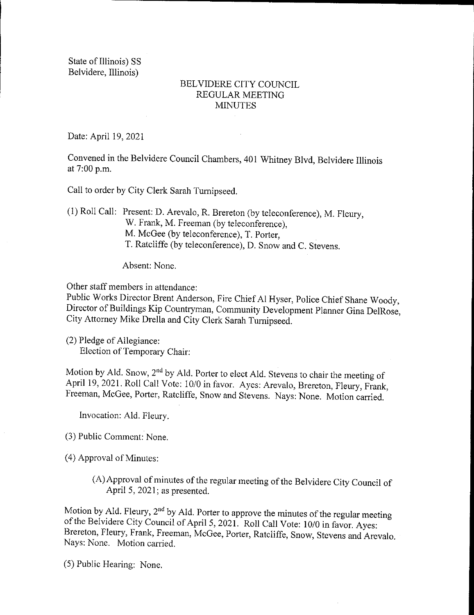State of Illinois) SS Belvidere, Illinois)

## BELVIDERE CITY COUNCIL REGULAR MEETING **MINUTES**

Date: April 19, 2021

Convened in the Belvidere Council Chambers, 401 Whitney Blvd, Belvidere Illinois at 7:00 p.m.

Call to order by City Clerk Sarah Turnipseed.

1) Roll Call: Present: D. Arevalo, R. Brereton (by teleconference), M. Fleury, W. Frank, M. Freeman (by teleconference). M. McGee (by teleconference), T. Porter, T. Ratcliffe ( by teleconference), D. Snow and C. Stevens.

Absent: None.

Other staff members in attendance:

Public Works Director Brent Anderson, Fire Chief Al Hyser, Police Chief Shane Woody, Director of Buildings Kip Countryman, Community Development Planner Gina DelRose, City Attorney Mike Drella and City Clerk Sarah Turnipseed.

2) Pledge of Allegiance: Election of Temporary Chair:

Motion by Ald. Snow, 2<sup>nd</sup> by Ald. Porter to elect Ald. Stevens to chair the meeting of April 19, 2021. Roll Call Vote: 10/0 in favor. Ayes: Arevalo, Brereton, Fleury, Frank, Freeman, McGee, Porter, Ratcliffe, Snow and Stevens. Nays: None. Motion carried.

Invocation: Ald. Fleury.

3) Public Comment: None.

4) Approval of Minutes:

A) Approval of minutes of the regular meeting of the Belvidere City Council of April 5, 2021; as presented.

Motion by Ald. Fleury,  $2<sup>nd</sup>$  by Ald. Porter to approve the minutes of the regular meeting of the Belvidere City Council of April 5, 2021. Roll Call Vote: 10/0 in favor. Ayes: Brereton, Fleury, Frank, Freeman, McGee, Porter, Ratcliffe, Snow, Stevens and Arevalo. Nays: None. Motion carried.

5) Public Hearing: None.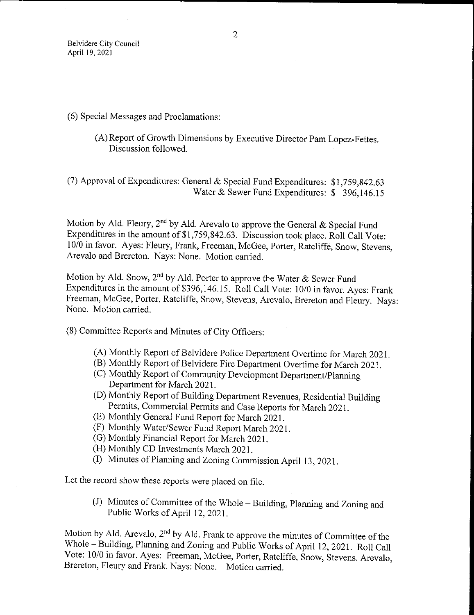## 6) Special Messages and Proclamations:

A) Report of Growth Dimensions by Executive Director Pam Lopez- Fettes. Discussion followed.

(7) Approval of Expenditures: General & Special Fund Expenditures:  $$1,759,842.63$ Water & Sewer Fund Expenditures: \$ 396,146.15

Motion by Ald. Fleury, 2<sup>nd</sup> by Ald. Arevalo to approve the General & Special Fund Expenditures in the amount of \$1,759,842.63. Discussion took place. Roll Call Vote: 10/0 in favor. Ayes: Fleury, Frank, Freeman, McGee, Porter, Ratcliffe, Snow, Stevens, Arevalo and Brereton. Nays: None. Motion carried.

Motion by Ald. Snow, 2<sup>nd</sup> by Ald. Porter to approve the Water & Sewer Fund Expenditures in the amount of \$396,146.15. Roll Call Vote: 10/0 in favor. Ayes: Frank Freeman, McGee, Porter, Ratcliffe, Snow, Stevens, Arevalo, Brereton and Fleury. Nays: None. Motion carried.

8) Committee Reports and Minutes of City Officers:

- A) Monthly Report of Belvidere Police Department Overtime for March 2021.
- B) Monthly Report of Belvidere Fire Department Overtime for March 2021.
- C) Monthly Report of Community Development Department/Planning Department for March 2021.
- D) Monthly Report of Building Department Revenues, Residential Building Permits, Commercial Permits and Case Reports for March 2021.
- E) Monthly General Fund Report for March 2021.
- F) Monthly Water/ Sewer Fund Report March 2021.
- G) Monthly Financial Report for March 2021.
- (H) Monthly CD Investments March 2021.
- I) Minutes of Planning and Zoning Commission April 13, 2021.

Let the record show these reports were placed on file.

J) Minutes of Committee of the Whole— Building, Planning and Zoning and Public Works of April 12, 2021.

Motion by Ald. Arevalo, 2nd by Ald. Frank to approve the minutes of Committee of the Whole— Building, Planning and Zoning and Public Works of April 12, 2021. Roll Call Vote: 10/0 in favor. Ayes: Freeman, McGee, Porter, Ratcliffe, Snow, Stevens, Arevalo, Brereton, Fleury and Frank. Nays: None. Motion carried.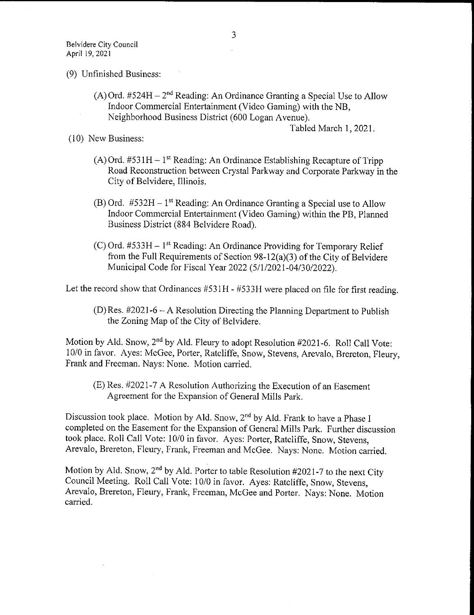- 9) Unfinished Business:
	- (A) Ord.  $#524H 2<sup>nd</sup>$  Reading: An Ordinance Granting a Special Use to Allow Indoor Commercial Entertainment( Video Gaming) with the NB, Neighborhood Business District (600 Logan Avenue).

Tabled March 1, 2021.

10) New Business:

- $(A)$  Ord. #531H 1<sup>st</sup> Reading: An Ordinance Establishing Recapture of Tripp Road Reconstruction between Crystal Parkway and Corporate Parkway in the City of Belvidere, Illinois.
- (B) Ord.  $#532H 1^{st}$  Reading: An Ordinance Granting a Special use to Allow Indoor Commercial Entertainment ( Video Gaming) within the PB, Planned Business District ( 884 Belvidere Road).
- $(C)$  Ord. #533H 1<sup>st</sup> Reading: An Ordinance Providing for Temporary Relief from the Full Requirements of Section  $98-12(a)(3)$  of the City of Belvidere Municipal Code for Fiscal Year 2022 (5/1/2021-04/30/2022).

Let the record show that Ordinances  $#531H - #533H$  were placed on file for first reading.

 $(D)$  Res. #2021-6 – A Resolution Directing the Planning Department to Publish the Zoning Map of the City of Belvidere.

Motion by Ald. Snow, 2<sup>nd</sup> by Ald. Fleury to adopt Resolution #2021-6. Roll Call Vote: 10/0 in favor. Ayes: McGee, Porter, Ratcliffe, Snow, Stevens, Arevalo, Brereton, Fleury, Frank and Freeman. Nays: None. Motion carried.

(E) Res. #2021-7 A Resolution Authorizing the Execution of an Easement Agreement for the Expansion of General Mills Park.

Discussion took place. Motion by Ald. Snow, 2<sup>nd</sup> by Ald. Frank to have a Phase I completed on the Easement for the Expansion of General Mills Park. Further discussion took place. Roll Call Vote: 10/0 in favor. Ayes: Porter, Ratcliffe, Snow, Stevens, Arevalo, Brereton, Fleury, Frank, Freeman and McGee. Nays: None. Motion carried.

Motion by Ald. Snow,  $2<sup>nd</sup>$  by Ald. Porter to table Resolution #2021-7 to the next City Council Meeting. Roll Call Vote: 10/0 in favor. Ayes: Ratcliffe, Snow, Stevens, Arevalo, Brereton, Fleury, Frank, Freeman, McGee and Porter. Nays: None. Motion carried.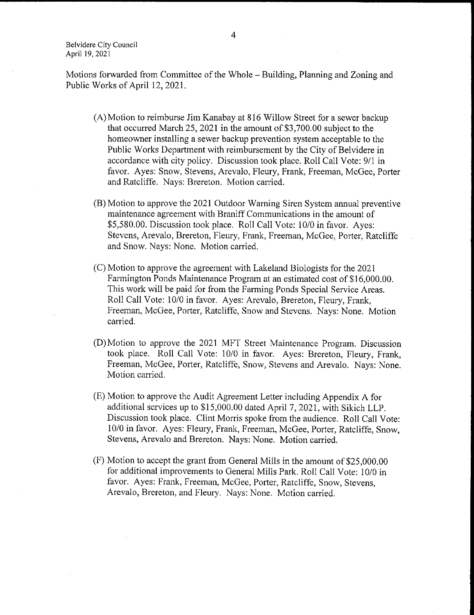Belvidere City Council April 19, 2021

Motions forwarded from Committee of the Whole— Building, Planning and Zoning and Public Works of April 12, 2021.

- A) Motion to reimburse Jim Kanabay at 816 Willow Street for a sewer backup that occurred March 25, 2021 in the amount of \$3,700.00 subject to the homeowner installing a sewer backup prevention system acceptable to the Public Works Department with reimbursement by the City of Belvidere in accordance with city policy. Discussion took place. Roll Call Vote: 9/1 in favor. Ayes: Snow, Stevens, Arevalo, Fleury, Frank, Freeman, McGee, Porter and Ratcliffe. Nays: Brereton. Motion carried.
- B) Motion to approve the 2021 Outdoor Warning Siren System annual preventive maintenance agreement with Braniff Communications in the amount of \$5,580.00. Discussion took place. Roll Call Vote: 10/0 in favor. Ayes: Stevens, Arevalo, Brereton, Fleury, Frank, Freeman, McGee, Porter, Ratcliffe and Snow. Nays: None. Motion carried.
- C) Motion to approve the agreement with Lakeland Biologists for the 2021 Farmington Ponds Maintenance Program at an estimated cost of \$16,000.00. This work will be paid for from the Farming Ponds Special Service Areas. Roll Call Vote: 10/0 in favor. Ayes: Arevalo, Brereton, Fleury, Frank, Freeman, McGee, Porter, Ratcliffe, Snow and Stevens. Nays: None. Motion carried.
- D) Motion to approve the 2021 MFT Street Maintenance Program. Discussion took place. Roll Call Vote: 10/0 in favor. Ayes: Brereton, Fleury, Frank, Freeman, McGee, Porter, Ratcliffe, Snow, Stevens and Arevalo. Nays: None. Motion carried.
- E) Motion to approve the Audit Agreement Letter including Appendix A for additional services up to \$15,000.00 dated April 7, 2021, with Sikich LLP. Discussion took place. Clint Morris spoke from the audience. Roll Call Vote: 10/0 in favor. Ayes: Fleury, Frank, Freeman, McGee, Porter, Ratcliffe, Snow, Stevens, Arevalo and Brereton. Nays: None. Motion carried.
- $(F)$  Motion to accept the grant from General Mills in the amount of \$25,000.00 for additional improvements to General Mills Park. Roll Call Vote: 10/0 in favor. Ayes: Frank, Freeman, McGee, Porter, Ratcliffe, Snow, Stevens, Arevalo, Brereton, and Fleury. Nays: None. Motion carried.